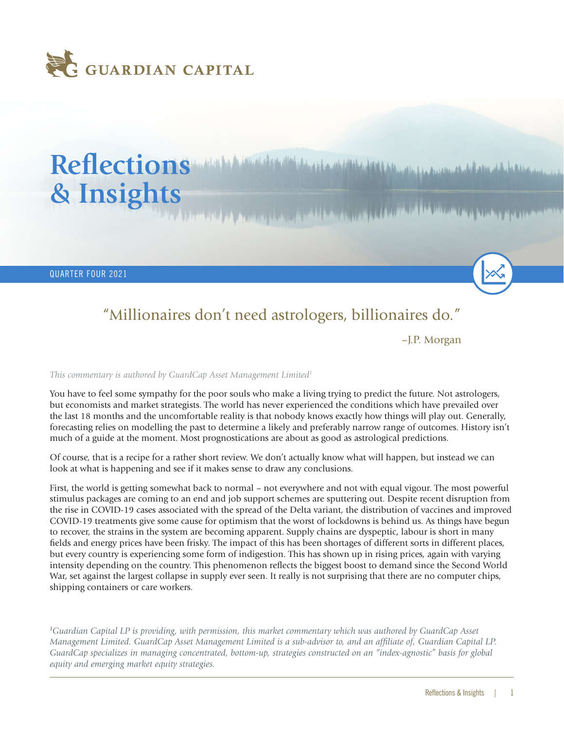

## Reflections *Multiple in the complete of the constitute of the complete of the complete in the interior decision* **& Insights**

QUARTER FOUR 2021

## "Millionaires don't need astrologers, billionaires do."

–J.P. Morgan

## *This commentary is authored by GuardCap Asset Management Limited1*

You have to feel some sympathy for the poor souls who make a living trying to predict the future. Not astrologers, but economists and market strategists. The world has never experienced the conditions which have prevailed over the last 18 months and the uncomfortable reality is that nobody knows exactly how things will play out. Generally, forecasting relies on modelling the past to determine a likely and preferably narrow range of outcomes. History isn't much of a guide at the moment. Most prognostications are about as good as astrological predictions.

Of course, that is a recipe for a rather short review. We don't actually know what will happen, but instead we can look at what is happening and see if it makes sense to draw any conclusions.

First, the world is getting somewhat back to normal – not everywhere and not with equal vigour. The most powerful stimulus packages are coming to an end and job support schemes are sputtering out. Despite recent disruption from the rise in COVID-19 cases associated with the spread of the Delta variant, the distribution of vaccines and improved COVID-19 treatments give some cause for optimism that the worst of lockdowns is behind us. As things have begun to recover, the strains in the system are becoming apparent. Supply chains are dyspeptic, labour is short in many fields and energy prices have been frisky. The impact of this has been shortages of different sorts in different places, but every country is experiencing some form of indigestion. This has shown up in rising prices, again with varying intensity depending on the country. This phenomenon reflects the biggest boost to demand since the Second World War, set against the largest collapse in supply ever seen. It really is not surprising that there are no computer chips, shipping containers or care workers.

*1 Guardian Capital LP is providing, with permission, this market commentary which was authored by GuardCap Asset Management Limited. GuardCap Asset Management Limited is a sub-advisor to, and an affiliate of, Guardian Capital LP. GuardCap specializes in managing concentrated, bottom-up, strategies constructed on an "index-agnostic" basis for global equity and emerging market equity strategies.*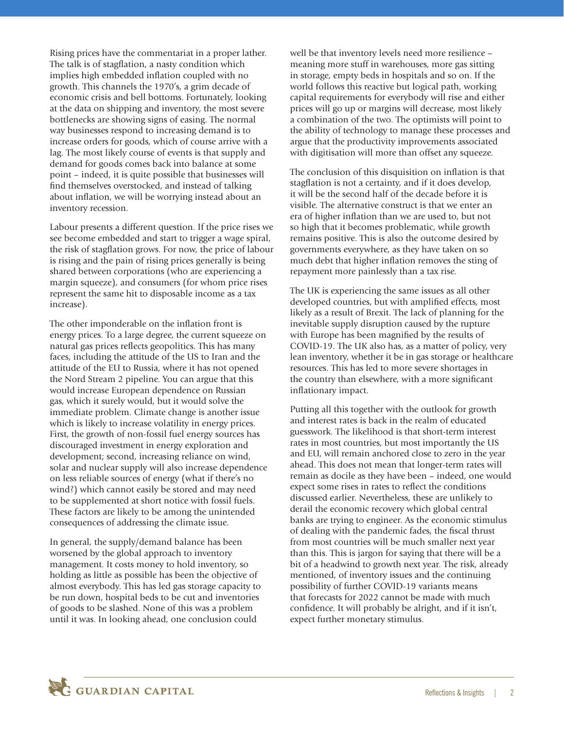Rising prices have the commentariat in a proper lather. The talk is of stagflation, a nasty condition which implies high embedded inflation coupled with no growth. This channels the 1970's, a grim decade of economic crisis and bell bottoms. Fortunately, looking at the data on shipping and inventory, the most severe bottlenecks are showing signs of easing. The normal way businesses respond to increasing demand is to increase orders for goods, which of course arrive with a lag. The most likely course of events is that supply and demand for goods comes back into balance at some point – indeed, it is quite possible that businesses will find themselves overstocked, and instead of talking about inflation, we will be worrying instead about an inventory recession.

Labour presents a different question. If the price rises we see become embedded and start to trigger a wage spiral, the risk of stagflation grows. For now, the price of labour is rising and the pain of rising prices generally is being shared between corporations (who are experiencing a margin squeeze), and consumers (for whom price rises represent the same hit to disposable income as a tax increase).

The other imponderable on the inflation front is energy prices. To a large degree, the current squeeze on natural gas prices reflects geopolitics. This has many faces, including the attitude of the US to Iran and the attitude of the EU to Russia, where it has not opened the Nord Stream 2 pipeline. You can argue that this would increase European dependence on Russian gas, which it surely would, but it would solve the immediate problem. Climate change is another issue which is likely to increase volatility in energy prices. First, the growth of non-fossil fuel energy sources has discouraged investment in energy exploration and development; second, increasing reliance on wind, solar and nuclear supply will also increase dependence on less reliable sources of energy (what if there's no wind?) which cannot easily be stored and may need to be supplemented at short notice with fossil fuels. These factors are likely to be among the unintended consequences of addressing the climate issue.

In general, the supply/demand balance has been worsened by the global approach to inventory management. It costs money to hold inventory, so holding as little as possible has been the objective of almost everybody. This has led gas storage capacity to be run down, hospital beds to be cut and inventories of goods to be slashed. None of this was a problem until it was. In looking ahead, one conclusion could

well be that inventory levels need more resilience – meaning more stuff in warehouses, more gas sitting in storage, empty beds in hospitals and so on. If the world follows this reactive but logical path, working capital requirements for everybody will rise and either prices will go up or margins will decrease, most likely a combination of the two. The optimists will point to the ability of technology to manage these processes and argue that the productivity improvements associated with digitisation will more than offset any squeeze.

The conclusion of this disquisition on inflation is that stagflation is not a certainty, and if it does develop, it will be the second half of the decade before it is visible. The alternative construct is that we enter an era of higher inflation than we are used to, but not so high that it becomes problematic, while growth remains positive. This is also the outcome desired by governments everywhere, as they have taken on so much debt that higher inflation removes the sting of repayment more painlessly than a tax rise.

The UK is experiencing the same issues as all other developed countries, but with amplified effects, most likely as a result of Brexit. The lack of planning for the inevitable supply disruption caused by the rupture with Europe has been magnified by the results of COVID-19. The UK also has, as a matter of policy, very lean inventory, whether it be in gas storage or healthcare resources. This has led to more severe shortages in the country than elsewhere, with a more significant inflationary impact.

Putting all this together with the outlook for growth and interest rates is back in the realm of educated guesswork. The likelihood is that short-term interest rates in most countries, but most importantly the US and EU, will remain anchored close to zero in the year ahead. This does not mean that longer-term rates will remain as docile as they have been – indeed, one would expect some rises in rates to reflect the conditions discussed earlier. Nevertheless, these are unlikely to derail the economic recovery which global central banks are trying to engineer. As the economic stimulus of dealing with the pandemic fades, the fiscal thrust from most countries will be much smaller next year than this. This is jargon for saying that there will be a bit of a headwind to growth next year. The risk, already mentioned, of inventory issues and the continuing possibility of further COVID-19 variants means that forecasts for 2022 cannot be made with much confidence. It will probably be alright, and if it isn't, expect further monetary stimulus.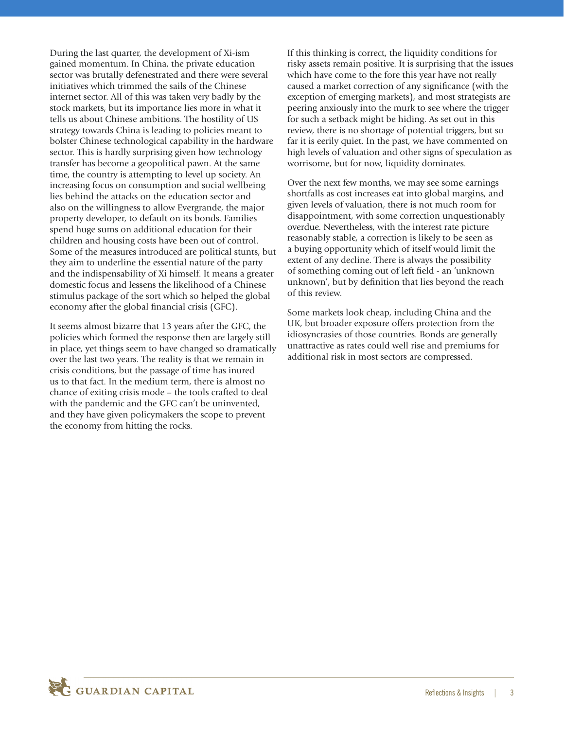During the last quarter, the development of Xi-ism gained momentum. In China, the private education sector was brutally defenestrated and there were several initiatives which trimmed the sails of the Chinese internet sector. All of this was taken very badly by the stock markets, but its importance lies more in what it tells us about Chinese ambitions. The hostility of US strategy towards China is leading to policies meant to bolster Chinese technological capability in the hardware sector. This is hardly surprising given how technology transfer has become a geopolitical pawn. At the same time, the country is attempting to level up society. An increasing focus on consumption and social wellbeing lies behind the attacks on the education sector and also on the willingness to allow Evergrande, the major property developer, to default on its bonds. Families spend huge sums on additional education for their children and housing costs have been out of control. Some of the measures introduced are political stunts, but they aim to underline the essential nature of the party and the indispensability of Xi himself. It means a greater domestic focus and lessens the likelihood of a Chinese stimulus package of the sort which so helped the global economy after the global financial crisis (GFC).

It seems almost bizarre that 13 years after the GFC, the policies which formed the response then are largely still in place, yet things seem to have changed so dramatically over the last two years. The reality is that we remain in crisis conditions, but the passage of time has inured us to that fact. In the medium term, there is almost no chance of exiting crisis mode – the tools crafted to deal with the pandemic and the GFC can't be uninvented, and they have given policymakers the scope to prevent the economy from hitting the rocks.

If this thinking is correct, the liquidity conditions for risky assets remain positive. It is surprising that the issues which have come to the fore this year have not really caused a market correction of any significance (with the exception of emerging markets), and most strategists are peering anxiously into the murk to see where the trigger for such a setback might be hiding. As set out in this review, there is no shortage of potential triggers, but so far it is eerily quiet. In the past, we have commented on high levels of valuation and other signs of speculation as worrisome, but for now, liquidity dominates.

Over the next few months, we may see some earnings shortfalls as cost increases eat into global margins, and given levels of valuation, there is not much room for disappointment, with some correction unquestionably overdue. Nevertheless, with the interest rate picture reasonably stable, a correction is likely to be seen as a buying opportunity which of itself would limit the extent of any decline. There is always the possibility of something coming out of left field - an 'unknown unknown', but by definition that lies beyond the reach of this review.

Some markets look cheap, including China and the UK, but broader exposure offers protection from the idiosyncrasies of those countries. Bonds are generally unattractive as rates could well rise and premiums for additional risk in most sectors are compressed.